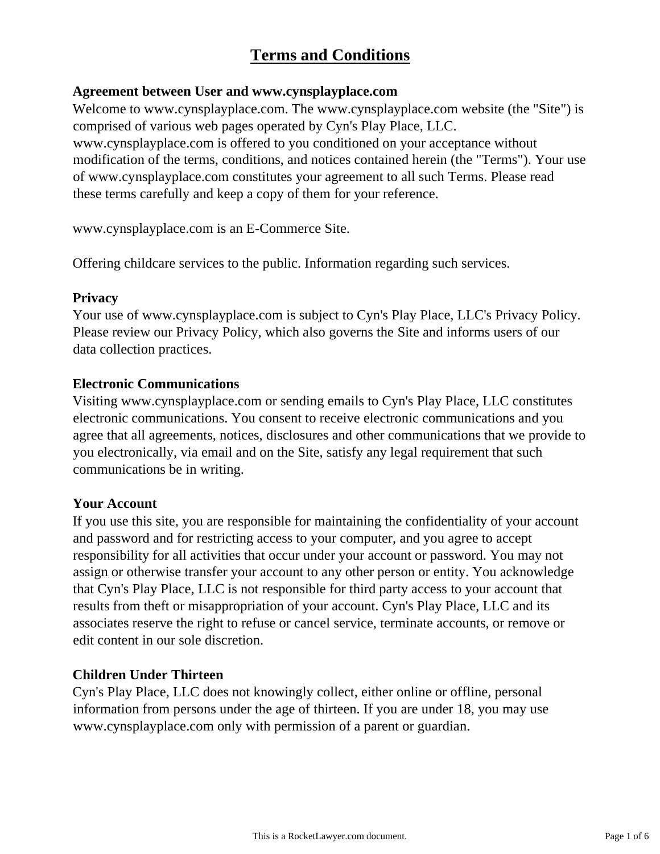# **Terms and Conditions**

#### **Agreement between User and www.cynsplayplace.com**

Welcome to www.cynsplayplace.com. The www.cynsplayplace.com website (the "Site") is comprised of various web pages operated by Cyn's Play Place, LLC. www.cynsplayplace.com is offered to you conditioned on your acceptance without modification of the terms, conditions, and notices contained herein (the "Terms"). Your use of www.cynsplayplace.com constitutes your agreement to all such Terms. Please read these terms carefully and keep a copy of them for your reference.

www.cynsplayplace.com is an E-Commerce Site.

Offering childcare services to the public. Information regarding such services.

#### **Privacy**

Your use of www.cynsplayplace.com is subject to Cyn's Play Place, LLC's Privacy Policy. Please review our Privacy Policy, which also governs the Site and informs users of our data collection practices.

#### **Electronic Communications**

Visiting www.cynsplayplace.com or sending emails to Cyn's Play Place, LLC constitutes electronic communications. You consent to receive electronic communications and you agree that all agreements, notices, disclosures and other communications that we provide to you electronically, via email and on the Site, satisfy any legal requirement that such communications be in writing.

#### **Your Account**

If you use this site, you are responsible for maintaining the confidentiality of your account and password and for restricting access to your computer, and you agree to accept responsibility for all activities that occur under your account or password. You may not assign or otherwise transfer your account to any other person or entity. You acknowledge that Cyn's Play Place, LLC is not responsible for third party access to your account that results from theft or misappropriation of your account. Cyn's Play Place, LLC and its associates reserve the right to refuse or cancel service, terminate accounts, or remove or edit content in our sole discretion.

### **Children Under Thirteen**

Cyn's Play Place, LLC does not knowingly collect, either online or offline, personal information from persons under the age of thirteen. If you are under 18, you may use www.cynsplayplace.com only with permission of a parent or guardian.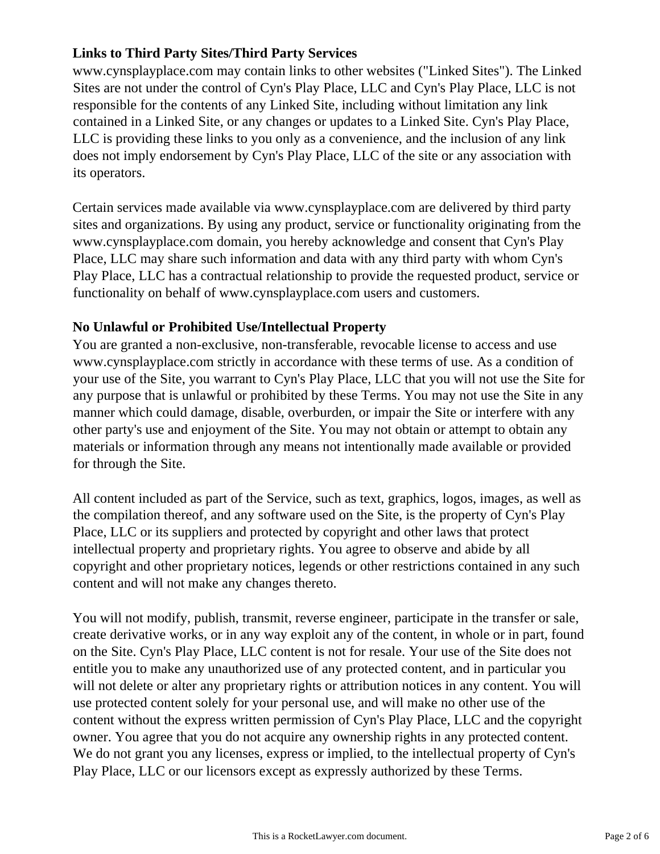## **Links to Third Party Sites/Third Party Services**

www.cynsplayplace.com may contain links to other websites ("Linked Sites"). The Linked Sites are not under the control of Cyn's Play Place, LLC and Cyn's Play Place, LLC is not responsible for the contents of any Linked Site, including without limitation any link contained in a Linked Site, or any changes or updates to a Linked Site. Cyn's Play Place, LLC is providing these links to you only as a convenience, and the inclusion of any link does not imply endorsement by Cyn's Play Place, LLC of the site or any association with its operators.

Certain services made available via www.cynsplayplace.com are delivered by third party sites and organizations. By using any product, service or functionality originating from the www.cynsplayplace.com domain, you hereby acknowledge and consent that Cyn's Play Place, LLC may share such information and data with any third party with whom Cyn's Play Place, LLC has a contractual relationship to provide the requested product, service or functionality on behalf of www.cynsplayplace.com users and customers.

### **No Unlawful or Prohibited Use/Intellectual Property**

You are granted a non-exclusive, non-transferable, revocable license to access and use www.cynsplayplace.com strictly in accordance with these terms of use. As a condition of your use of the Site, you warrant to Cyn's Play Place, LLC that you will not use the Site for any purpose that is unlawful or prohibited by these Terms. You may not use the Site in any manner which could damage, disable, overburden, or impair the Site or interfere with any other party's use and enjoyment of the Site. You may not obtain or attempt to obtain any materials or information through any means not intentionally made available or provided for through the Site.

All content included as part of the Service, such as text, graphics, logos, images, as well as the compilation thereof, and any software used on the Site, is the property of Cyn's Play Place, LLC or its suppliers and protected by copyright and other laws that protect intellectual property and proprietary rights. You agree to observe and abide by all copyright and other proprietary notices, legends or other restrictions contained in any such content and will not make any changes thereto.

You will not modify, publish, transmit, reverse engineer, participate in the transfer or sale, create derivative works, or in any way exploit any of the content, in whole or in part, found on the Site. Cyn's Play Place, LLC content is not for resale. Your use of the Site does not entitle you to make any unauthorized use of any protected content, and in particular you will not delete or alter any proprietary rights or attribution notices in any content. You will use protected content solely for your personal use, and will make no other use of the content without the express written permission of Cyn's Play Place, LLC and the copyright owner. You agree that you do not acquire any ownership rights in any protected content. We do not grant you any licenses, express or implied, to the intellectual property of Cyn's Play Place, LLC or our licensors except as expressly authorized by these Terms.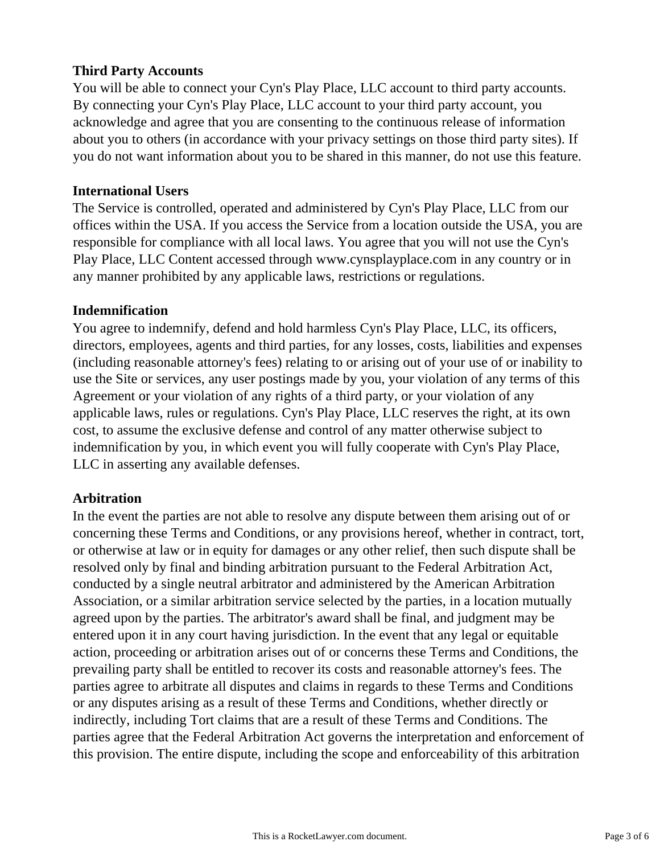### **Third Party Accounts**

You will be able to connect your Cyn's Play Place, LLC account to third party accounts. By connecting your Cyn's Play Place, LLC account to your third party account, you acknowledge and agree that you are consenting to the continuous release of information about you to others (in accordance with your privacy settings on those third party sites). If you do not want information about you to be shared in this manner, do not use this feature.

#### **International Users**

The Service is controlled, operated and administered by Cyn's Play Place, LLC from our offices within the USA. If you access the Service from a location outside the USA, you are responsible for compliance with all local laws. You agree that you will not use the Cyn's Play Place, LLC Content accessed through www.cynsplayplace.com in any country or in any manner prohibited by any applicable laws, restrictions or regulations.

#### **Indemnification**

You agree to indemnify, defend and hold harmless Cyn's Play Place, LLC, its officers, directors, employees, agents and third parties, for any losses, costs, liabilities and expenses (including reasonable attorney's fees) relating to or arising out of your use of or inability to use the Site or services, any user postings made by you, your violation of any terms of this Agreement or your violation of any rights of a third party, or your violation of any applicable laws, rules or regulations. Cyn's Play Place, LLC reserves the right, at its own cost, to assume the exclusive defense and control of any matter otherwise subject to indemnification by you, in which event you will fully cooperate with Cyn's Play Place, LLC in asserting any available defenses.

### **Arbitration**

In the event the parties are not able to resolve any dispute between them arising out of or concerning these Terms and Conditions, or any provisions hereof, whether in contract, tort, or otherwise at law or in equity for damages or any other relief, then such dispute shall be resolved only by final and binding arbitration pursuant to the Federal Arbitration Act, conducted by a single neutral arbitrator and administered by the American Arbitration Association, or a similar arbitration service selected by the parties, in a location mutually agreed upon by the parties. The arbitrator's award shall be final, and judgment may be entered upon it in any court having jurisdiction. In the event that any legal or equitable action, proceeding or arbitration arises out of or concerns these Terms and Conditions, the prevailing party shall be entitled to recover its costs and reasonable attorney's fees. The parties agree to arbitrate all disputes and claims in regards to these Terms and Conditions or any disputes arising as a result of these Terms and Conditions, whether directly or indirectly, including Tort claims that are a result of these Terms and Conditions. The parties agree that the Federal Arbitration Act governs the interpretation and enforcement of this provision. The entire dispute, including the scope and enforceability of this arbitration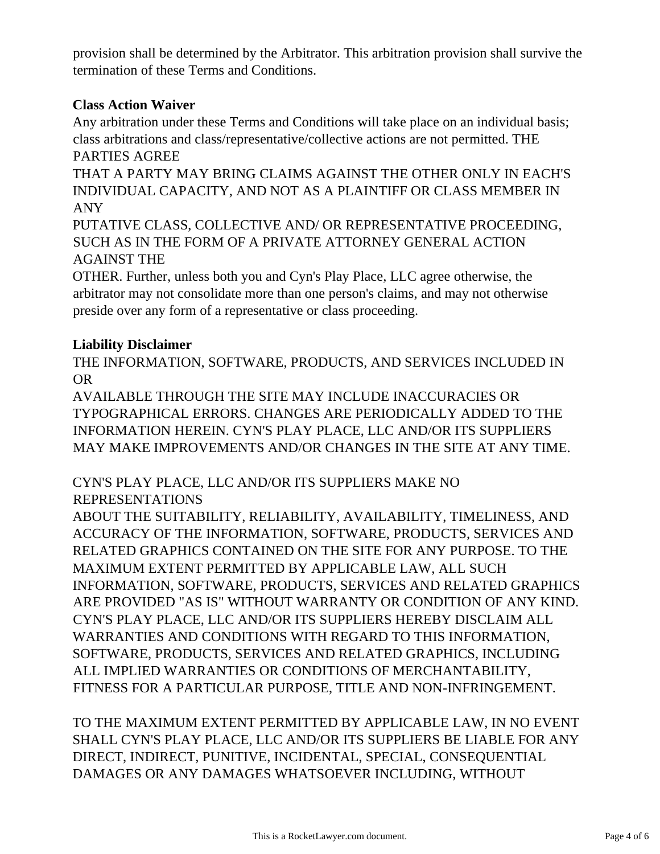provision shall be determined by the Arbitrator. This arbitration provision shall survive the termination of these Terms and Conditions.

# **Class Action Waiver**

Any arbitration under these Terms and Conditions will take place on an individual basis; class arbitrations and class/representative/collective actions are not permitted. THE PARTIES AGREE

THAT A PARTY MAY BRING CLAIMS AGAINST THE OTHER ONLY IN EACH'S INDIVIDUAL CAPACITY, AND NOT AS A PLAINTIFF OR CLASS MEMBER IN ANY

PUTATIVE CLASS, COLLECTIVE AND/ OR REPRESENTATIVE PROCEEDING, SUCH AS IN THE FORM OF A PRIVATE ATTORNEY GENERAL ACTION AGAINST THE

OTHER. Further, unless both you and Cyn's Play Place, LLC agree otherwise, the arbitrator may not consolidate more than one person's claims, and may not otherwise preside over any form of a representative or class proceeding.

# **Liability Disclaimer**

THE INFORMATION, SOFTWARE, PRODUCTS, AND SERVICES INCLUDED IN OR

AVAILABLE THROUGH THE SITE MAY INCLUDE INACCURACIES OR TYPOGRAPHICAL ERRORS. CHANGES ARE PERIODICALLY ADDED TO THE INFORMATION HEREIN. CYN'S PLAY PLACE, LLC AND/OR ITS SUPPLIERS MAY MAKE IMPROVEMENTS AND/OR CHANGES IN THE SITE AT ANY TIME.

# CYN'S PLAY PLACE, LLC AND/OR ITS SUPPLIERS MAKE NO REPRESENTATIONS

ABOUT THE SUITABILITY, RELIABILITY, AVAILABILITY, TIMELINESS, AND ACCURACY OF THE INFORMATION, SOFTWARE, PRODUCTS, SERVICES AND RELATED GRAPHICS CONTAINED ON THE SITE FOR ANY PURPOSE. TO THE MAXIMUM EXTENT PERMITTED BY APPLICABLE LAW, ALL SUCH INFORMATION, SOFTWARE, PRODUCTS, SERVICES AND RELATED GRAPHICS ARE PROVIDED "AS IS" WITHOUT WARRANTY OR CONDITION OF ANY KIND. CYN'S PLAY PLACE, LLC AND/OR ITS SUPPLIERS HEREBY DISCLAIM ALL WARRANTIES AND CONDITIONS WITH REGARD TO THIS INFORMATION, SOFTWARE, PRODUCTS, SERVICES AND RELATED GRAPHICS, INCLUDING ALL IMPLIED WARRANTIES OR CONDITIONS OF MERCHANTABILITY, FITNESS FOR A PARTICULAR PURPOSE, TITLE AND NON-INFRINGEMENT.

TO THE MAXIMUM EXTENT PERMITTED BY APPLICABLE LAW, IN NO EVENT SHALL CYN'S PLAY PLACE, LLC AND/OR ITS SUPPLIERS BE LIABLE FOR ANY DIRECT, INDIRECT, PUNITIVE, INCIDENTAL, SPECIAL, CONSEQUENTIAL DAMAGES OR ANY DAMAGES WHATSOEVER INCLUDING, WITHOUT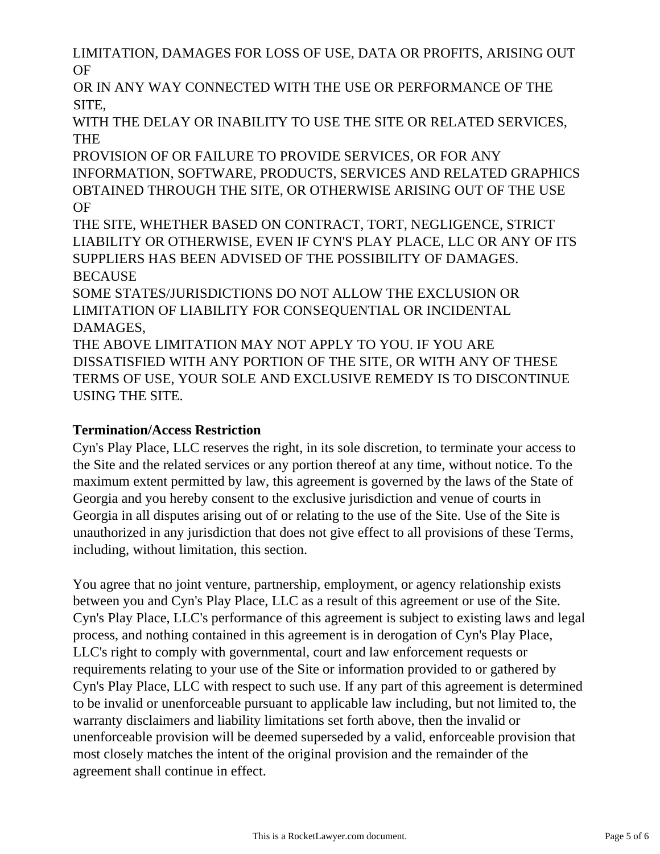LIMITATION, DAMAGES FOR LOSS OF USE, DATA OR PROFITS, ARISING OUT OF

OR IN ANY WAY CONNECTED WITH THE USE OR PERFORMANCE OF THE SITE,

WITH THE DELAY OR INABILITY TO USE THE SITE OR RELATED SERVICES, **THE** 

PROVISION OF OR FAILURE TO PROVIDE SERVICES, OR FOR ANY INFORMATION, SOFTWARE, PRODUCTS, SERVICES AND RELATED GRAPHICS OBTAINED THROUGH THE SITE, OR OTHERWISE ARISING OUT OF THE USE OF

THE SITE, WHETHER BASED ON CONTRACT, TORT, NEGLIGENCE, STRICT LIABILITY OR OTHERWISE, EVEN IF CYN'S PLAY PLACE, LLC OR ANY OF ITS SUPPLIERS HAS BEEN ADVISED OF THE POSSIBILITY OF DAMAGES. **BECAUSE** 

SOME STATES/JURISDICTIONS DO NOT ALLOW THE EXCLUSION OR LIMITATION OF LIABILITY FOR CONSEQUENTIAL OR INCIDENTAL DAMAGES,

THE ABOVE LIMITATION MAY NOT APPLY TO YOU. IF YOU ARE DISSATISFIED WITH ANY PORTION OF THE SITE, OR WITH ANY OF THESE TERMS OF USE, YOUR SOLE AND EXCLUSIVE REMEDY IS TO DISCONTINUE USING THE SITE.

# **Termination/Access Restriction**

Cyn's Play Place, LLC reserves the right, in its sole discretion, to terminate your access to the Site and the related services or any portion thereof at any time, without notice. To the maximum extent permitted by law, this agreement is governed by the laws of the State of Georgia and you hereby consent to the exclusive jurisdiction and venue of courts in Georgia in all disputes arising out of or relating to the use of the Site. Use of the Site is unauthorized in any jurisdiction that does not give effect to all provisions of these Terms, including, without limitation, this section.

You agree that no joint venture, partnership, employment, or agency relationship exists between you and Cyn's Play Place, LLC as a result of this agreement or use of the Site. Cyn's Play Place, LLC's performance of this agreement is subject to existing laws and legal process, and nothing contained in this agreement is in derogation of Cyn's Play Place, LLC's right to comply with governmental, court and law enforcement requests or requirements relating to your use of the Site or information provided to or gathered by Cyn's Play Place, LLC with respect to such use. If any part of this agreement is determined to be invalid or unenforceable pursuant to applicable law including, but not limited to, the warranty disclaimers and liability limitations set forth above, then the invalid or unenforceable provision will be deemed superseded by a valid, enforceable provision that most closely matches the intent of the original provision and the remainder of the agreement shall continue in effect.